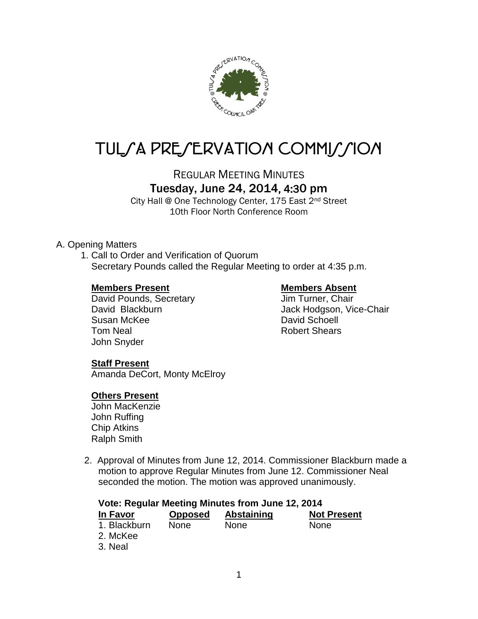

# TUL/A PRE/ERVATION COMMI*J*/ION

REGULAR MEETING MINUTES

## Tuesday, June 24, 2014, 4:30 pm

City Hall @ One Technology Center, 175 East 2nd Street 10th Floor North Conference Room

## A. Opening Matters

1. Call to Order and Verification of Quorum Secretary Pounds called the Regular Meeting to order at 4:35 p.m.

## **Members Present Members Absent**

David Pounds, Secretary **Jim Turner**, Chair Susan McKee David Schoell Tom Neal **Robert Shears** John Snyder

David Blackburn Jack Hodgson, Vice-Chair

## **Staff Present**

Amanda DeCort, Monty McElroy

## **Others Present**

John MacKenzie John Ruffing Chip Atkins Ralph Smith

2. Approval of Minutes from June 12, 2014. Commissioner Blackburn made a motion to approve Regular Minutes from June 12. Commissioner Neal seconded the motion. The motion was approved unanimously.

| Vote: Regular Meeting Minutes from June 12, 2014 |                |             |                    |  |  |  |
|--------------------------------------------------|----------------|-------------|--------------------|--|--|--|
| In Favor                                         | <b>Opposed</b> | Abstaining  | <b>Not Present</b> |  |  |  |
| 1. Blackburn                                     | <b>None</b>    | <b>None</b> | <b>None</b>        |  |  |  |
| 2. McKee                                         |                |             |                    |  |  |  |
| 3. Neal                                          |                |             |                    |  |  |  |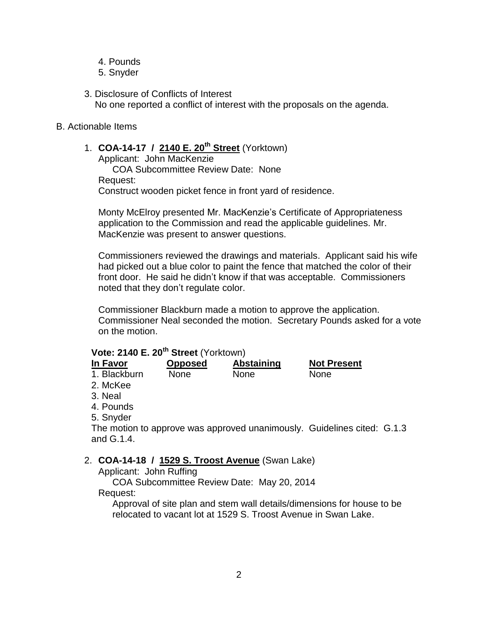- 4. Pounds
- 5. Snyder
- 3. Disclosure of Conflicts of Interest No one reported a conflict of interest with the proposals on the agenda.

## B. Actionable Items

## 1. **COA-14-17 / 2140 E. 20th Street** (Yorktown)

Applicant: John MacKenzie

COA Subcommittee Review Date: None Request: Construct wooden picket fence in front yard of residence.

Monty McElroy presented Mr. MacKenzie's Certificate of Appropriateness application to the Commission and read the applicable guidelines. Mr. MacKenzie was present to answer questions.

Commissioners reviewed the drawings and materials. Applicant said his wife had picked out a blue color to paint the fence that matched the color of their front door. He said he didn't know if that was acceptable. Commissioners noted that they don't regulate color.

Commissioner Blackburn made a motion to approve the application. Commissioner Neal seconded the motion. Secretary Pounds asked for a vote on the motion.

## **Vote: 2140 E. 20th Street** (Yorktown)

| In Favor     | <b>Opposed</b> | Abstaining  | <b>Not Present</b> |
|--------------|----------------|-------------|--------------------|
| 1. Blackburn | <b>None</b>    | <b>None</b> | <b>None</b>        |
| 2. McKee     |                |             |                    |
| $0$ N $\sim$ |                |             |                    |

- 3. Neal
- 4. Pounds
- 5. Snyder

The motion to approve was approved unanimously. Guidelines cited: G.1.3 and G.1.4.

## 2. **COA-14-18 / 1529 S. Troost Avenue** (Swan Lake)

Applicant: John Ruffing

COA Subcommittee Review Date: May 20, 2014 Request:

Approval of site plan and stem wall details/dimensions for house to be relocated to vacant lot at 1529 S. Troost Avenue in Swan Lake.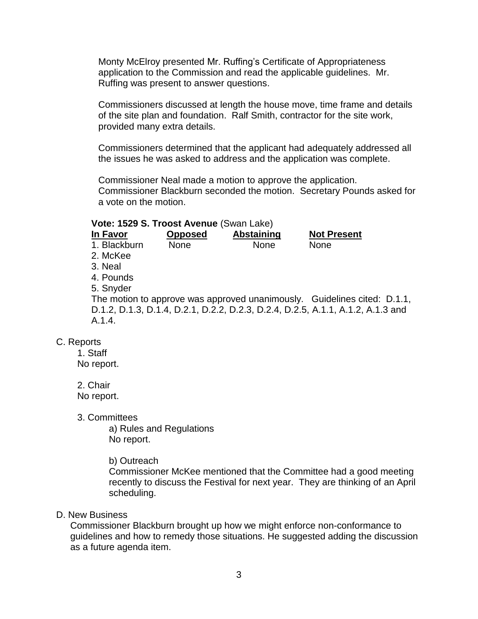Monty McElroy presented Mr. Ruffing's Certificate of Appropriateness application to the Commission and read the applicable guidelines. Mr. Ruffing was present to answer questions.

Commissioners discussed at length the house move, time frame and details of the site plan and foundation. Ralf Smith, contractor for the site work, provided many extra details.

Commissioners determined that the applicant had adequately addressed all the issues he was asked to address and the application was complete.

Commissioner Neal made a motion to approve the application. Commissioner Blackburn seconded the motion. Secretary Pounds asked for a vote on the motion.

### **Vote: 1529 S. Troost Avenue** (Swan Lake)

| In Favor     | <b>Opposed</b> | <b>Abstaining</b> | <b>Not Present</b>                                                              |
|--------------|----------------|-------------------|---------------------------------------------------------------------------------|
| 1. Blackburn | <b>None</b>    | <b>None</b>       | None                                                                            |
| 2. McKee     |                |                   |                                                                                 |
| 3. Neal      |                |                   |                                                                                 |
| 4. Pounds    |                |                   |                                                                                 |
| 5. Snyder    |                |                   |                                                                                 |
|              |                |                   | The motion to approve was approved unanimously. Guidelines cited: D.1.1,        |
|              |                |                   | D.1.2, D.1.3, D.1.4, D.2.1, D.2.2, D.2.3, D.2.4, D.2.5, A.1.1, A.1.2, A.1.3 and |
| A.1.4.       |                |                   |                                                                                 |
|              |                |                   |                                                                                 |

## C. Reports

1. Staff No report.

2. Chair No report.

3. Committees

a) Rules and Regulations No report.

### b) Outreach

Commissioner McKee mentioned that the Committee had a good meeting recently to discuss the Festival for next year. They are thinking of an April scheduling.

## D. New Business

Commissioner Blackburn brought up how we might enforce non-conformance to guidelines and how to remedy those situations. He suggested adding the discussion as a future agenda item.